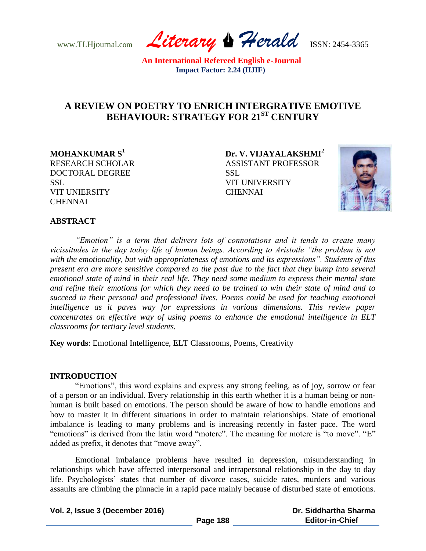www.TLHjournal.com *Literary Herald*ISSN: 2454-3365

# **A REVIEW ON POETRY TO ENRICH INTERGRATIVE EMOTIVE BEHAVIOUR: STRATEGY FOR 21ST CENTURY**

DOCTORAL DEGREE SSL SSL VIT UNIVERSITY VIT UNIERSITY CHENNAI **CHENNAI** 

**MOHANKUMAR S<sup>1</sup>Dr. V. VIJAYALAKSHMI<sup>2</sup>** RESEARCH SCHOLAR ASSISTANT PROFESSOR



## **ABSTRACT**

*"Emotion" is a term that delivers lots of connotations and it tends to create many vicissitudes in the day today life of human beings. According to Aristotle "the problem is not with the emotionality, but with appropriateness of emotions and its expressions". Students of this present era are more sensitive compared to the past due to the fact that they bump into several emotional state of mind in their real life. They need some medium to express their mental state and refine their emotions for which they need to be trained to win their state of mind and to succeed in their personal and professional lives. Poems could be used for teaching emotional intelligence as it paves way for expressions in various dimensions. This review paper concentrates on effective way of using poems to enhance the emotional intelligence in ELT classrooms for tertiary level students.*

**Key words**: Emotional Intelligence, ELT Classrooms, Poems, Creativity

#### **INTRODUCTION**

"Emotions", this word explains and express any strong feeling, as of joy, sorrow or fear of a person or an individual. Every relationship in this earth whether it is a human being or nonhuman is built based on emotions. The person should be aware of how to handle emotions and how to master it in different situations in order to maintain relationships. State of emotional imbalance is leading to many problems and is increasing recently in faster pace. The word "emotions" is derived from the latin word "motere". The meaning for motere is "to move". "E" added as prefix, it denotes that "move away".

Emotional imbalance problems have resulted in depression, misunderstanding in relationships which have affected interpersonal and intrapersonal relationship in the day to day life. Psychologists' states that number of divorce cases, suicide rates, murders and various assaults are climbing the pinnacle in a rapid pace mainly because of disturbed state of emotions.

| Vol. 2, Issue 3 (December 2016) |          | Dr. Siddhartha Sharma  |
|---------------------------------|----------|------------------------|
|                                 | Page 188 | <b>Editor-in-Chief</b> |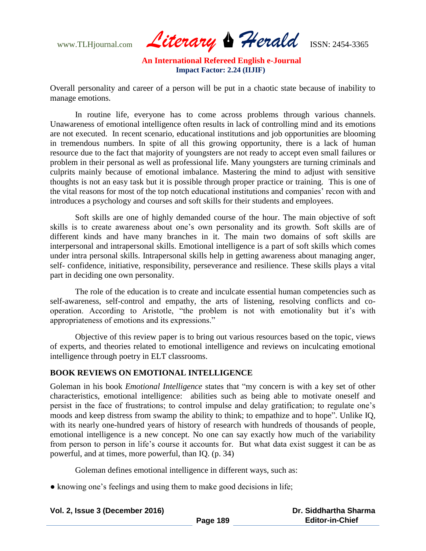www.TLHjournal.com *Literary Herald*ISSN: 2454-3365

Overall personality and career of a person will be put in a chaotic state because of inability to manage emotions.

In routine life, everyone has to come across problems through various channels. Unawareness of emotional intelligence often results in lack of controlling mind and its emotions are not executed. In recent scenario, educational institutions and job opportunities are blooming in tremendous numbers. In spite of all this growing opportunity, there is a lack of human resource due to the fact that majority of youngsters are not ready to accept even small failures or problem in their personal as well as professional life. Many youngsters are turning criminals and culprits mainly because of emotional imbalance. Mastering the mind to adjust with sensitive thoughts is not an easy task but it is possible through proper practice or training. This is one of the vital reasons for most of the top notch educational institutions and companies' recon with and introduces a psychology and courses and soft skills for their students and employees.

Soft skills are one of highly demanded course of the hour. The main objective of soft skills is to create awareness about one's own personality and its growth. Soft skills are of different kinds and have many branches in it. The main two domains of soft skills are interpersonal and intrapersonal skills. Emotional intelligence is a part of soft skills which comes under intra personal skills. Intrapersonal skills help in getting awareness about managing anger, self- confidence, initiative, responsibility, perseverance and resilience. These skills plays a vital part in deciding one own personality.

The role of the education is to create and inculcate essential human competencies such as self-awareness, self-control and empathy, the arts of listening, resolving conflicts and cooperation. According to Aristotle, "the problem is not with emotionality but it's with appropriateness of emotions and its expressions."

Objective of this review paper is to bring out various resources based on the topic, views of experts, and theories related to emotional intelligence and reviews on inculcating emotional intelligence through poetry in ELT classrooms.

## **BOOK REVIEWS ON EMOTIONAL INTELLIGENCE**

Goleman in his book *Emotional Intelligence* states that "my concern is with a key set of other characteristics, emotional intelligence: abilities such as being able to motivate oneself and persist in the face of frustrations; to control impulse and delay gratification; to regulate one's moods and keep distress from swamp the ability to think; to empathize and to hope". Unlike IQ, with its nearly one-hundred years of history of research with hundreds of thousands of people, emotional intelligence is a new concept. No one can say exactly how much of the variability from person to person in life's course it accounts for. But what data exist suggest it can be as powerful, and at times, more powerful, than IQ. (p. 34)

Goleman defines emotional intelligence in different ways, such as:

• knowing one's feelings and using them to make good decisions in life;

| Vol. 2, Issue 3 (December 2016) |          | Dr. Siddhartha Sharma  |
|---------------------------------|----------|------------------------|
|                                 | Page 189 | <b>Editor-in-Chief</b> |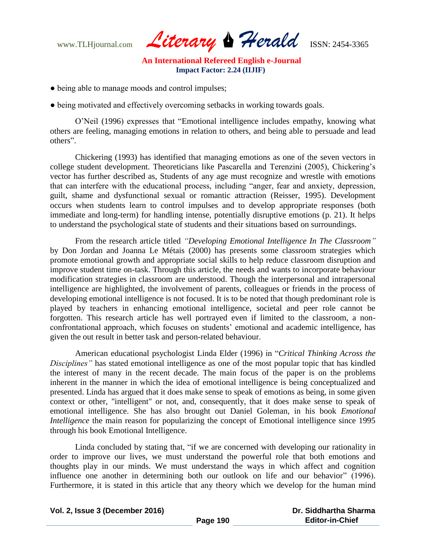www.TLHjournal.com *Literary Herald*ISSN: 2454-3365

- being able to manage moods and control impulses;
- being motivated and effectively overcoming setbacks in working towards goals.

O'Neil (1996) expresses that "Emotional intelligence includes empathy, knowing what others are feeling, managing emotions in relation to others, and being able to persuade and lead others".

Chickering (1993) has identified that managing emotions as one of the seven vectors in college student development. Theoreticians like Pascarella and Terenzini (2005), Chickering's vector has further described as, Students of any age must recognize and wrestle with emotions that can interfere with the educational process, including "anger, fear and anxiety, depression, guilt, shame and dysfunctional sexual or romantic attraction (Reisser, 1995). Development occurs when students learn to control impulses and to develop appropriate responses (both immediate and long-term) for handling intense, potentially disruptive emotions (p. 21). It helps to understand the psychological state of students and their situations based on surroundings.

From the research article titled *"Developing Emotional Intelligence In The Classroom"* by Don Jordan and Joanna Le Métais (2000) has presents some classroom strategies which promote emotional growth and appropriate social skills to help reduce classroom disruption and improve student time on-task. Through this article, the needs and wants to incorporate behaviour modification strategies in classroom are understood. Though the interpersonal and intrapersonal intelligence are highlighted, the involvement of parents, colleagues or friends in the process of developing emotional intelligence is not focused. It is to be noted that though predominant role is played by teachers in enhancing emotional intelligence, societal and peer role cannot be forgotten. This research article has well portrayed even if limited to the classroom, a nonconfrontational approach, which focuses on students' emotional and academic intelligence, has given the out result in better task and person-related behaviour.

American educational psychologist Linda Elder (1996) in "*Critical Thinking Across the Disciplines"* has stated emotional intelligence as one of the most popular topic that has kindled the interest of many in the recent decade. The main focus of the paper is on the problems inherent in the manner in which the idea of emotional intelligence is being conceptualized and presented. Linda has argued that it does make sense to speak of emotions as being, in some given context or other, "intelligent" or not, and, consequently, that it does make sense to speak of emotional intelligence. She has also brought out Daniel Goleman, in his book *Emotional Intelligence* the main reason for popularizing the concept of Emotional intelligence since 1995 through his book Emotional Intelligence.

Linda concluded by stating that, "if we are concerned with developing our rationality in order to improve our lives, we must understand the powerful role that both emotions and thoughts play in our minds. We must understand the ways in which affect and cognition influence one another in determining both our outlook on life and our behavior" (1996). Furthermore, it is stated in this article that any theory which we develop for the human mind

| Vol. 2, Issue 3 (December 2016) |          | Dr. Siddhartha Sharma  |
|---------------------------------|----------|------------------------|
|                                 | Page 190 | <b>Editor-in-Chief</b> |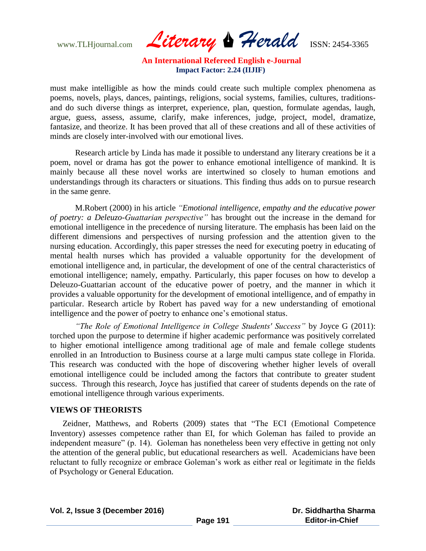www.TLHjournal.com *Literary Herald*ISSN: 2454-3365

must make intelligible as how the minds could create such multiple complex phenomena as poems, novels, plays, dances, paintings, religions, social systems, families, cultures, traditionsand do such diverse things as interpret, experience, plan, question, formulate agendas, laugh, argue, guess, assess, assume, clarify, make inferences, judge, project, model, dramatize, fantasize, and theorize. It has been proved that all of these creations and all of these activities of minds are closely inter-involved with our emotional lives.

Research article by Linda has made it possible to understand any literary creations be it a poem, novel or drama has got the power to enhance emotional intelligence of mankind. It is mainly because all these novel works are intertwined so closely to human emotions and understandings through its characters or situations. This finding thus adds on to pursue research in the same genre.

M.Robert (2000) in his article *"Emotional intelligence, empathy and the educative power of poetry: a Deleuzo-Guattarian perspective"* has brought out the increase in the demand for emotional intelligence in the precedence of nursing literature. The emphasis has been laid on the different dimensions and perspectives of nursing profession and the attention given to the nursing education. Accordingly, this paper stresses the need for executing poetry in educating of mental health nurses which has provided a valuable opportunity for the development of emotional intelligence and, in particular, the development of one of the central characteristics of emotional intelligence; namely, empathy. Particularly, this paper focuses on how to develop a Deleuzo-Guattarian account of the educative power of poetry, and the manner in which it provides a valuable opportunity for the development of emotional intelligence, and of empathy in particular. Research article by Robert has paved way for a new understanding of emotional intelligence and the power of poetry to enhance one's emotional status.

*"The Role of Emotional Intelligence in College Students' Success"* by Joyce G (2011): torched upon the purpose to determine if higher academic performance was positively correlated to higher emotional intelligence among traditional age of male and female college students enrolled in an Introduction to Business course at a large multi campus state college in Florida. This research was conducted with the hope of discovering whether higher levels of overall emotional intelligence could be included among the factors that contribute to greater student success. Through this research, Joyce has justified that career of students depends on the rate of emotional intelligence through various experiments.

#### **VIEWS OF THEORISTS**

Zeidner, Matthews, and Roberts (2009) states that "The ECI (Emotional Competence Inventory) assesses competence rather than EI, for which Goleman has failed to provide an independent measure" (p. 14). Goleman has nonetheless been very effective in getting not only the attention of the general public, but educational researchers as well. Academicians have been reluctant to fully recognize or embrace Goleman's work as either real or legitimate in the fields of Psychology or General Education.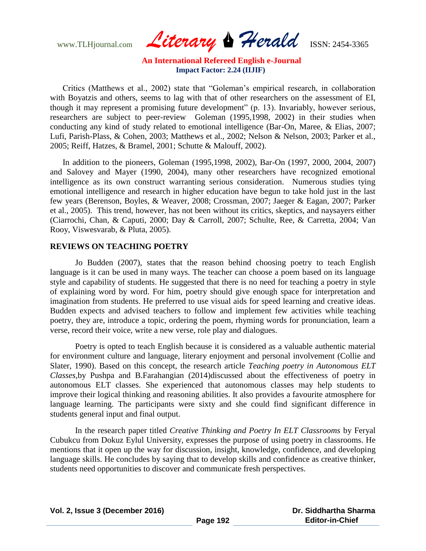www.TLHjournal.com *Literary Herald*ISSN: 2454-3365

Critics (Matthews et al., 2002) state that "Goleman's empirical research, in collaboration with Boyatzis and others, seems to lag with that of other researchers on the assessment of EI, though it may represent a promising future development" (p. 13). Invariably, however serious, researchers are subject to peer-review Goleman (1995,1998, 2002) in their studies when conducting any kind of study related to emotional intelligence (Bar-On, Maree, & Elias, 2007; Lufi, Parish-Plass, & Cohen, 2003; Matthews et al., 2002; Nelson & Nelson, 2003; Parker et al., 2005; Reiff, Hatzes, & Bramel, 2001; Schutte & Malouff, 2002).

In addition to the pioneers, Goleman (1995,1998, 2002), Bar-On (1997, 2000, 2004, 2007) and Salovey and Mayer (1990, 2004), many other researchers have recognized emotional intelligence as its own construct warranting serious consideration. Numerous studies tying emotional intelligence and research in higher education have begun to take hold just in the last few years (Berenson, Boyles, & Weaver, 2008; Crossman, 2007; Jaeger & Eagan, 2007; Parker et al., 2005). This trend, however, has not been without its critics, skeptics, and naysayers either (Ciarrochi, Chan, & Caputi, 2000; Day & Carroll, 2007; Schulte, Ree, & Carretta, 2004; Van Rooy, Viswesvarab, & Pluta, 2005).

#### **REVIEWS ON TEACHING POETRY**

Jo Budden (2007), states that the reason behind choosing poetry to teach English language is it can be used in many ways. The teacher can choose a poem based on its language style and capability of students. He suggested that there is no need for teaching a poetry in style of explaining word by word. For him, poetry should give enough space for interpretation and imagination from students. He preferred to use visual aids for speed learning and creative ideas. Budden expects and advised teachers to follow and implement few activities while teaching poetry, they are, introduce a topic, ordering the poem, rhyming words for pronunciation, learn a verse, record their voice, write a new verse, role play and dialogues.

Poetry is opted to teach English because it is considered as a valuable authentic material for environment culture and language, literary enjoyment and personal involvement (Collie and Slater, 1990). Based on this concept, the research article *Teaching poetry in Autonomous ELT Classes,*by Pushpa and B.Farahangian (2014)discussed about the effectiveness of poetry in autonomous ELT classes. She experienced that autonomous classes may help students to improve their logical thinking and reasoning abilities. It also provides a favourite atmosphere for language learning. The participants were sixty and she could find significant difference in students general input and final output.

In the research paper titled *Creative Thinking and Poetry In ELT Classrooms* by Feryal Cubukcu from Dokuz Eylul University, expresses the purpose of using poetry in classrooms. He mentions that it open up the way for discussion, insight, knowledge, confidence, and developing language skills. He concludes by saying that to develop skills and confidence as creative thinker, students need opportunities to discover and communicate fresh perspectives.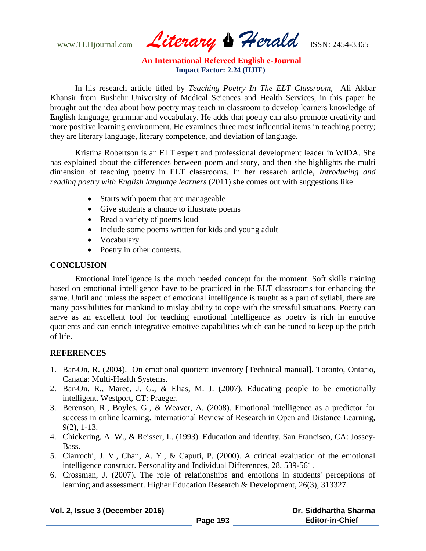www.TLHjournal.com *Literary Herald*ISSN: 2454-3365

In his research article titled by *Teaching Poetry In The ELT Classroom,* Ali Akbar Khansir from Bushehr University of Medical Sciences and Health Services, in this paper he brought out the idea about how poetry may teach in classroom to develop learners knowledge of English language, grammar and vocabulary. He adds that poetry can also promote creativity and more positive learning environment. He examines three most influential items in teaching poetry; they are literary language, literary competence, and deviation of language.

Kristina Robertson is an ELT expert and professional development leader in WIDA. She has explained about the differences between poem and story, and then she highlights the multi dimension of teaching poetry in ELT classrooms. In her research article, *Introducing and reading poetry with English language learners* (2011) she comes out with suggestions like

- Starts with poem that are manageable
- Give students a chance to illustrate poems
- Read a variety of poems loud
- Include some poems written for kids and young adult
- Vocabulary
- Poetry in other contexts.

## **CONCLUSION**

Emotional intelligence is the much needed concept for the moment. Soft skills training based on emotional intelligence have to be practiced in the ELT classrooms for enhancing the same. Until and unless the aspect of emotional intelligence is taught as a part of syllabi, there are many possibilities for mankind to mislay ability to cope with the stressful situations. Poetry can serve as an excellent tool for teaching emotional intelligence as poetry is rich in emotive quotients and can enrich integrative emotive capabilities which can be tuned to keep up the pitch of life.

## **REFERENCES**

- 1. Bar-On, R. (2004). On emotional quotient inventory [Technical manual]. Toronto, Ontario, Canada: Multi-Health Systems.
- 2. Bar-On, R., Maree, J. G., & Elias, M. J. (2007). Educating people to be emotionally intelligent. Westport, CT: Praeger.
- 3. Berenson, R., Boyles, G., & Weaver, A. (2008). Emotional intelligence as a predictor for success in online learning. International Review of Research in Open and Distance Learning, 9(2), 1-13.
- 4. Chickering, A. W., & Reisser, L. (1993). Education and identity. San Francisco, CA: Jossey-Bass.
- 5. Ciarrochi, J. V., Chan, A. Y., & Caputi, P. (2000). A critical evaluation of the emotional intelligence construct. Personality and Individual Differences, 28, 539-561.
- 6. Crossman, J. (2007). The role of relationships and emotions in students' perceptions of learning and assessment. Higher Education Research & Development, 26(3), 313327.

| Vol. 2, Issue 3 (December 2016) |          | Dr. Siddhartha Sharma  |
|---------------------------------|----------|------------------------|
|                                 | Page 193 | <b>Editor-in-Chief</b> |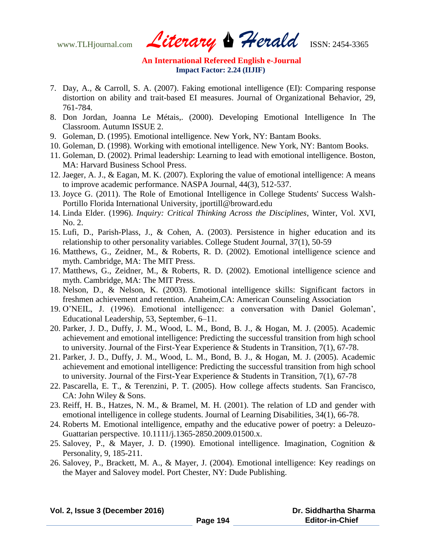www.TLHjournal.com *Literary Herald*ISSN: 2454-3365

- 7. Day, A., & Carroll, S. A. (2007). Faking emotional intelligence (EI): Comparing response distortion on ability and trait-based EI measures. Journal of Organizational Behavior, 29, 761-784.
- 8. Don Jordan, Joanna Le Métais,. (2000). Developing Emotional Intelligence In The Classroom. Autumn ISSUE 2.
- 9. Goleman, D. (1995). Emotional intelligence. New York, NY: Bantam Books.
- 10. Goleman, D. (1998). Working with emotional intelligence. New York, NY: Bantom Books.
- 11. Goleman, D. (2002). Primal leadership: Learning to lead with emotional intelligence. Boston, MA: Harvard Business School Press.
- 12. Jaeger, A. J., & Eagan, M. K. (2007). Exploring the value of emotional intelligence: A means to improve academic performance. NASPA Journal, 44(3), 512-537.
- 13. Joyce G. (2011). The Role of Emotional Intelligence in College Students' Success Walsh-Portillo Florida International University, jportill@broward.edu
- 14. Linda Elder. (1996). *Inquiry: Critical Thinking Across the Disciplines*, Winter, Vol. XVI, No. 2.
- 15. Lufi, D., Parish-Plass, J., & Cohen, A. (2003). Persistence in higher education and its relationship to other personality variables. College Student Journal, 37(1), 50-59
- 16. Matthews, G., Zeidner, M., & Roberts, R. D. (2002). Emotional intelligence science and myth. Cambridge, MA: The MIT Press.
- 17. Matthews, G., Zeidner, M., & Roberts, R. D. (2002). Emotional intelligence science and myth. Cambridge, MA: The MIT Press.
- 18. Nelson, D., & Nelson, K. (2003). Emotional intelligence skills: Significant factors in freshmen achievement and retention. Anaheim,CA: American Counseling Association
- 19. O'NEIL, J. (1996). Emotional intelligence: a conversation with Daniel Goleman', Educational Leadership, 53, September, 6–11.
- 20. Parker, J. D., Duffy, J. M., Wood, L. M., Bond, B. J., & Hogan, M. J. (2005). Academic achievement and emotional intelligence: Predicting the successful transition from high school to university. Journal of the First-Year Experience & Students in Transition, 7(1), 67-78.
- 21. Parker, J. D., Duffy, J. M., Wood, L. M., Bond, B. J., & Hogan, M. J. (2005). Academic achievement and emotional intelligence: Predicting the successful transition from high school to university. Journal of the First-Year Experience & Students in Transition, 7(1), 67-78
- 22. Pascarella, E. T., & Terenzini, P. T. (2005). How college affects students. San Francisco, CA: John Wiley & Sons.
- 23. Reiff, H. B., Hatzes, N. M., & Bramel, M. H. (2001). The relation of LD and gender with emotional intelligence in college students. Journal of Learning Disabilities, 34(1), 66-78.
- 24. Roberts M. Emotional intelligence, empathy and the educative power of poetry: a Deleuzo-Guattarian perspective. 10.1111/j.1365-2850.2009.01500.x.
- 25. Salovey, P., & Mayer, J. D. (1990). Emotional intelligence. Imagination, Cognition & Personality, 9, 185-211.
- 26. Salovey, P., Brackett, M. A., & Mayer, J. (2004). Emotional intelligence: Key readings on the Mayer and Salovey model. Port Chester, NY: Dude Publishing.